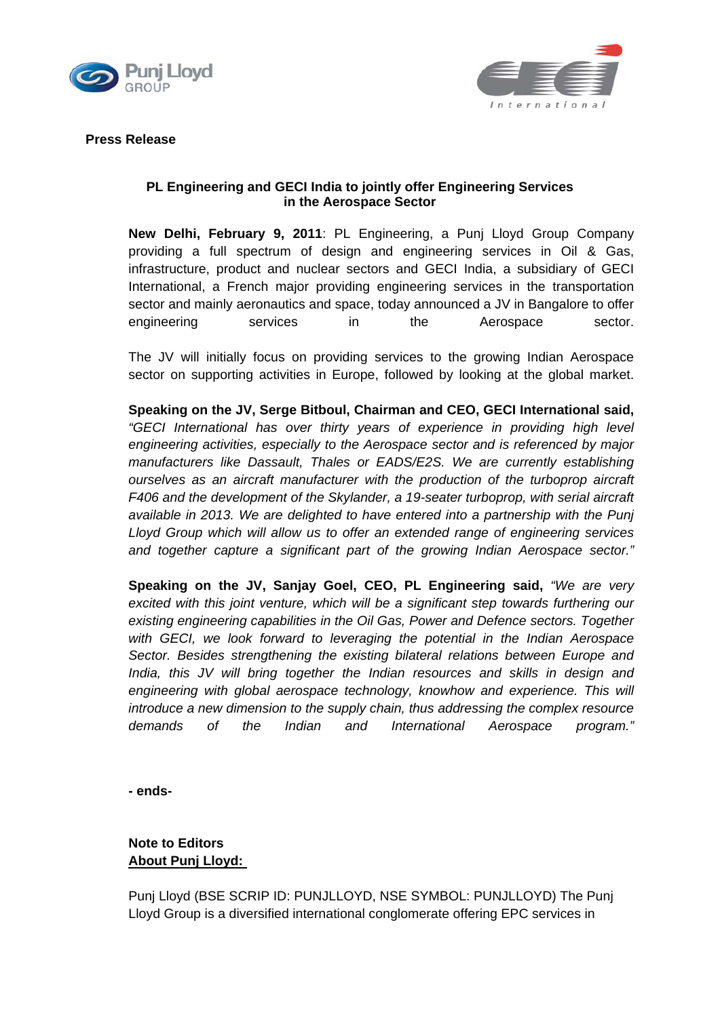



**Press Release**

## **PL Engineering and GECI India to jointly offer Engineering Services in the Aerospace Sector**

**New Delhi, February 9, 2011**: PL Engineering, a Punj Lloyd Group Company providing a full spectrum of design and engineering services in Oil & Gas, infrastructure, product and nuclear sectors and GECI India, a subsidiary of GECI International, a French major providing engineering services in the transportation sector and mainly aeronautics and space, today announced a JV in Bangalore to offer engineering services in the Aerospace sector.

The JV will initially focus on providing services to the growing Indian Aerospace sector on supporting activities in Europe, followed by looking at the global market.

**Speaking on the JV, Serge Bitboul, Chairman and CEO, GECI International said,** *"GECI International has over thirty years of experience in providing high level engineering activities, especially to the Aerospace sector and is referenced by major manufacturers like Dassault, Thales or EADS/E2S. We are currently establishing ourselves as an aircraft manufacturer with the production of the turboprop aircraft F406 and the development of the Skylander, a 19-seater turboprop, with serial aircraft available in 2013. We are delighted to have entered into a partnership with the Punj Lloyd Group which will allow us to offer an extended range of engineering services and together capture a significant part of the growing Indian Aerospace sector."*

**Speaking on the JV, Sanjay Goel, CEO, PL Engineering said,** *"We are very excited with this joint venture, which will be a significant step towards furthering our existing engineering capabilities in the Oil Gas, Power and Defence sectors. Together with GECI, we look forward to leveraging the potential in the Indian Aerospace Sector. Besides strengthening the existing bilateral relations between Europe and India, this JV will bring together the Indian resources and skills in design and* engineering with global aerospace technology, knowhow and experience. This will *introduce a new dimension to the supply chain, thus addressing the complex resource demands of the Indian and International Aerospace program."*

**- ends-**

# **Note to Editors About Punj Lloyd:**

Punj Lloyd (BSE SCRIP ID: PUNJLLOYD, NSE SYMBOL: PUNJLLOYD) The Punj Lloyd Group is a diversified international conglomerate offering EPC services in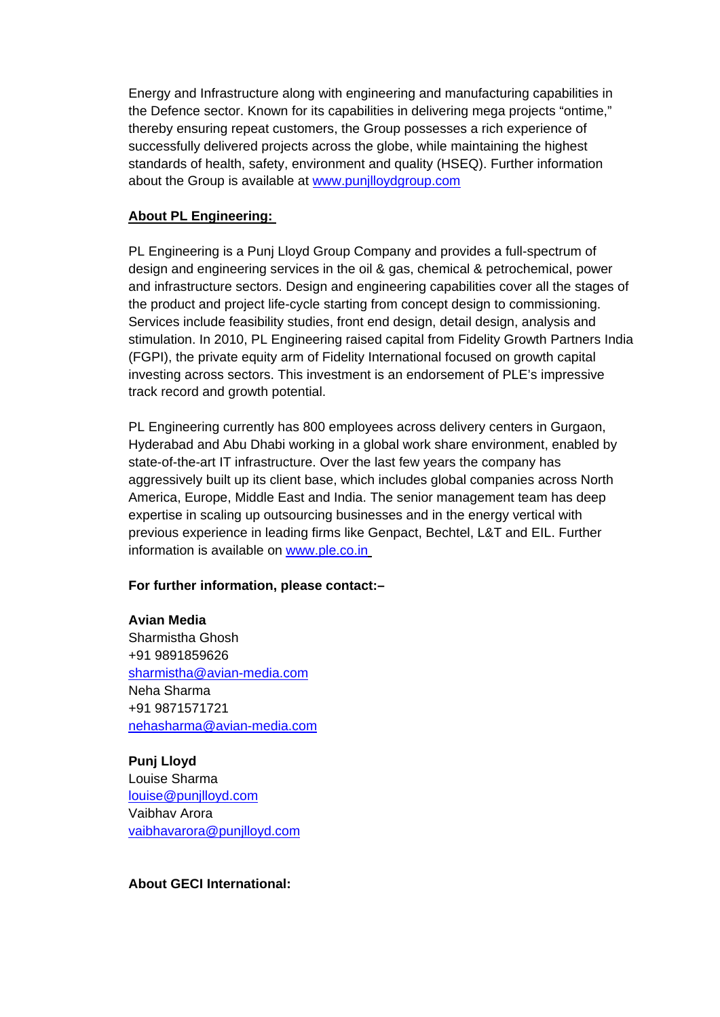Energy and Infrastructure along with engineering and manufacturing capabilities in the Defence sector. Known for its capabilities in delivering mega projects "ontime," thereby ensuring repeat customers, the Group possesses a rich experience of successfully delivered projects across the globe, while maintaining the highest standards of health, safety, environment and quality (HSEQ). Further information about the Group is available at [www.punjlloydgroup.com](http://www.punjlloydgroup.com/) 

## **About PL Engineering:**

PL Engineering is a Punj Lloyd Group Company and provides a full-spectrum of design and engineering services in the oil & gas, chemical & petrochemical, power and infrastructure sectors. Design and engineering capabilities cover all the stages of the product and project life-cycle starting from concept design to commissioning. Services include feasibility studies, front end design, detail design, analysis and stimulation. In 2010, PL Engineering raised capital from Fidelity Growth Partners India (FGPI), the private equity arm of Fidelity International focused on growth capital investing across sectors. This investment is an endorsement of PLE's impressive track record and growth potential.

PL Engineering currently has 800 employees across delivery centers in Gurgaon, Hyderabad and Abu Dhabi working in a global work share environment, enabled by state-of-the-art IT infrastructure. Over the last few years the company has aggressively built up its client base, which includes global companies across North America, Europe, Middle East and India. The senior management team has deep expertise in scaling up outsourcing businesses and in the energy vertical with previous experience in leading firms like Genpact, Bechtel, L&T and EIL. Further information is available on [www.ple.co.in](http://www.ple.co.in/)

### **For further information, please contact:–**

### **Avian Media**

Sharmistha Ghosh +91 9891859626 [sharmistha@avian-media.com](mailto:sharmistha@avian-media.com) Neha Sharma +91 9871571721 [nehasharma@avian-media.com](mailto:nehasharma@avian-media.com)

**Punj Lloyd**  Louise Sharma [louise@punjlloyd.com](mailto:louise@punjlloyd.com) Vaibhav Arora [vaibhavarora@punjlloyd.com](mailto:vaibhavarora@punjlloyd.com)

## **About GECI International:**